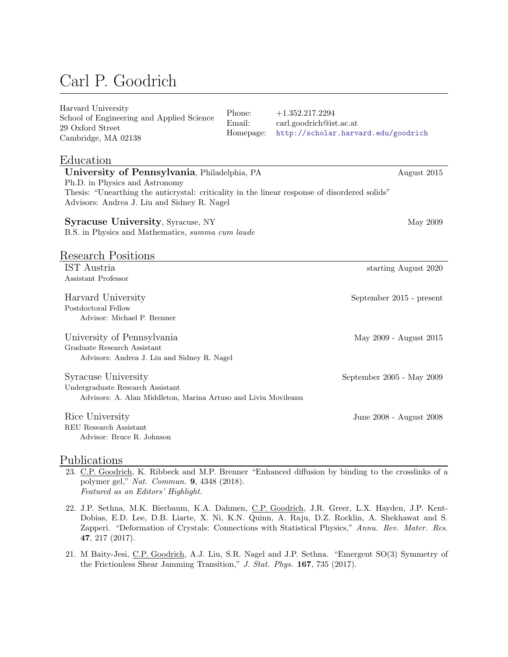# Carl P. Goodrich

| Harvard University<br>School of Engineering and Applied Science<br>29 Oxford Street<br>Cambridge, MA 02138                                   | Phone:<br>Email:<br>Homepage: | $+1.352.217.2294$<br>carl.goodrich@ist.ac.at<br>http://scholar.harvard.edu/goodrich |
|----------------------------------------------------------------------------------------------------------------------------------------------|-------------------------------|-------------------------------------------------------------------------------------|
| Education                                                                                                                                    |                               |                                                                                     |
| University of Pennsylvania, Philadelphia, PA                                                                                                 |                               | August 2015                                                                         |
| Ph.D. in Physics and Astronomy                                                                                                               |                               |                                                                                     |
| Thesis: "Unearthing the anticrystal: criticality in the linear response of disordered solids"<br>Advisors: Andrea J. Liu and Sidney R. Nagel |                               |                                                                                     |
|                                                                                                                                              |                               |                                                                                     |
| Syracuse University, Syracuse, NY                                                                                                            |                               | May 2009                                                                            |
| B.S. in Physics and Mathematics, summa cum laude                                                                                             |                               |                                                                                     |
|                                                                                                                                              |                               |                                                                                     |
| Research Positions                                                                                                                           |                               |                                                                                     |
| IST Austria                                                                                                                                  |                               | starting August 2020                                                                |
| Assistant Professor                                                                                                                          |                               |                                                                                     |
| Harvard University                                                                                                                           |                               | September 2015 - present                                                            |
| Postdoctoral Fellow                                                                                                                          |                               |                                                                                     |
| Advisor: Michael P. Brenner                                                                                                                  |                               |                                                                                     |
|                                                                                                                                              |                               |                                                                                     |
| University of Pennsylvania<br>Graduate Research Assistant                                                                                    |                               | May 2009 - August 2015                                                              |
| Advisors: Andrea J. Liu and Sidney R. Nagel                                                                                                  |                               |                                                                                     |
|                                                                                                                                              |                               |                                                                                     |
| Syracuse University                                                                                                                          |                               | September 2005 - May 2009                                                           |
| Undergraduate Research Assistant                                                                                                             |                               |                                                                                     |
| Advisors: A. Alan Middleton, Marina Artuso and Liviu Movileanu                                                                               |                               |                                                                                     |
| Rice University                                                                                                                              |                               | June 2008 - August 2008                                                             |
| REU Research Assistant                                                                                                                       |                               |                                                                                     |
| Advisor: Bruce R. Johnson                                                                                                                    |                               |                                                                                     |
|                                                                                                                                              |                               |                                                                                     |

#### Publications

- 23. C.P. Goodrich, K. Ribbeck and M.P. Brenner "Enhanced diffusion by binding to the crosslinks of a polymer gel," Nat. Commun. 9, 4348 (2018). Featured as an Editors' Highlight.
- 22. J.P. Sethna, M.K. Bierbaum, K.A. Dahmen, C.P. Goodrich, J.R. Greer, L.X. Hayden, J.P. Kent-Dobias, E.D. Lee, D.B. Liarte, X. Ni, K.N. Quinn, A. Raju, D.Z. Rocklin, A. Shekhawat and S. Zapperi. "Deformation of Crystals: Connections with Statistical Physics," Annu. Rev. Mater. Res. 47, 217 (2017).
- 21. M Baity-Jesi, C.P. Goodrich, A.J. Liu, S.R. Nagel and J.P. Sethna. "Emergent SO(3) Symmetry of the Frictionless Shear Jamming Transition," J. Stat. Phys. 167, 735 (2017).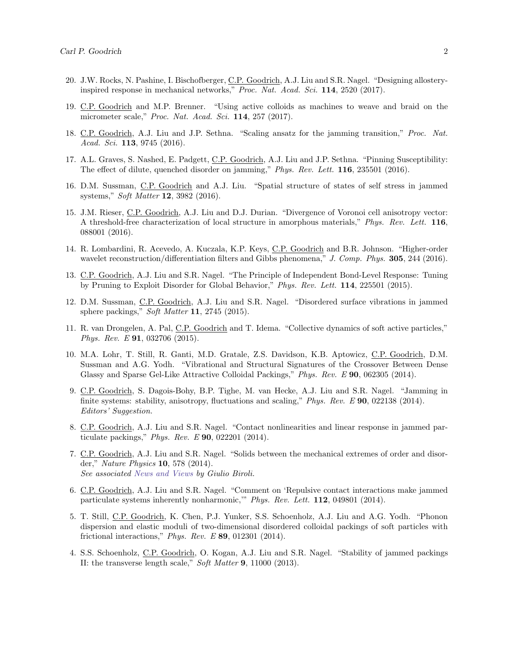- 20. J.W. Rocks, N. Pashine, I. Bischofberger, C.P. Goodrich, A.J. Liu and S.R. Nagel. "Designing allosteryinspired response in mechanical networks," Proc. Nat. Acad. Sci. 114, 2520 (2017).
- 19. C.P. Goodrich and M.P. Brenner. "Using active colloids as machines to weave and braid on the micrometer scale," Proc. Nat. Acad. Sci. 114, 257 (2017).
- 18. C.P. Goodrich, A.J. Liu and J.P. Sethna. "Scaling ansatz for the jamming transition," Proc. Nat. Acad. Sci. **113**, 9745 (2016).
- 17. A.L. Graves, S. Nashed, E. Padgett, C.P. Goodrich, A.J. Liu and J.P. Sethna. "Pinning Susceptibility: The effect of dilute, quenched disorder on jamming," Phys. Rev. Lett. 116, 235501 (2016).
- 16. D.M. Sussman, C.P. Goodrich and A.J. Liu. "Spatial structure of states of self stress in jammed systems," Soft Matter 12, 3982 (2016).
- 15. J.M. Rieser, C.P. Goodrich, A.J. Liu and D.J. Durian. "Divergence of Voronoi cell anisotropy vector: A threshold-free characterization of local structure in amorphous materials," Phys. Rev. Lett. 116, 088001 (2016).
- 14. R. Lombardini, R. Acevedo, A. Kuczala, K.P. Keys, C.P. Goodrich and B.R. Johnson. "Higher-order wavelet reconstruction/differentiation filters and Gibbs phenomena," J. Comp. Phys. 305, 244 (2016).
- 13. C.P. Goodrich, A.J. Liu and S.R. Nagel. "The Principle of Independent Bond-Level Response: Tuning by Pruning to Exploit Disorder for Global Behavior," Phys. Rev. Lett. 114, 225501 (2015).
- 12. D.M. Sussman, C.P. Goodrich, A.J. Liu and S.R. Nagel. "Disordered surface vibrations in jammed sphere packings," Soft Matter 11, 2745 (2015).
- 11. R. van Drongelen, A. Pal, C.P. Goodrich and T. Idema. "Collective dynamics of soft active particles," Phys. Rev. E 91, 032706 (2015).
- 10. M.A. Lohr, T. Still, R. Ganti, M.D. Gratale, Z.S. Davidson, K.B. Aptowicz, C.P. Goodrich, D.M. Sussman and A.G. Yodh. "Vibrational and Structural Signatures of the Crossover Between Dense Glassy and Sparse Gel-Like Attractive Colloidal Packings," Phys. Rev. E 90, 062305 (2014).
- 9. C.P. Goodrich, S. Dagois-Bohy, B.P. Tighe, M. van Hecke, A.J. Liu and S.R. Nagel. "Jamming in finite systems: stability, anisotropy, fluctuations and scaling," Phys. Rev. E 90, 022138 (2014). Editors' Suggestion.
- 8. C.P. Goodrich, A.J. Liu and S.R. Nagel. "Contact nonlinearities and linear response in jammed particulate packings," Phys. Rev. E 90, 022201 (2014).
- 7. C.P. Goodrich, A.J. Liu and S.R. Nagel. "Solids between the mechanical extremes of order and disorder," Nature Physics 10, 578 (2014). See associated [News and Views](http://www.nature.com/nphys/journal/v10/n8/full/nphys3054.html) by Giulio Biroli.
- 6. C.P. Goodrich, A.J. Liu and S.R. Nagel. "Comment on 'Repulsive contact interactions make jammed particulate systems inherently nonharmonic,'" Phys. Rev. Lett. 112, 049801 (2014).
- 5. T. Still, C.P. Goodrich, K. Chen, P.J. Yunker, S.S. Schoenholz, A.J. Liu and A.G. Yodh. "Phonon dispersion and elastic moduli of two-dimensional disordered colloidal packings of soft particles with frictional interactions," Phys. Rev. E  $89$ , 012301 (2014).
- 4. S.S. Schoenholz, C.P. Goodrich, O. Kogan, A.J. Liu and S.R. Nagel. "Stability of jammed packings II: the transverse length scale," Soft Matter 9, 11000 (2013).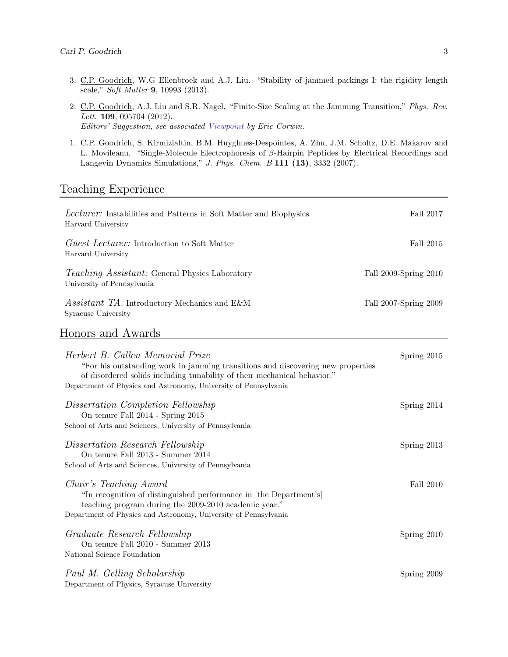- 3. C.P. Goodrich, W.G Ellenbroek and A.J. Liu. "Stability of jammed packings I: the rigidity length scale," Soft Matter 9, 10993 (2013).
- 2. C.P. Goodrich, A.J. Liu and S.R. Nagel. "Finite-Size Scaling at the Jamming Transition," Phys. Rev. Lett. **109**, 095704 (2012). Editors' Suggestion, see associated [Viewpoint](http://physics.aps.org/articles/v5/97) by Eric Corwin.
- 1. C.P. Goodrich, S. Kirmizialtin, B.M. Huyghues-Despointes, A. Zhu, J.M. Scholtz, D.E. Makarov and L. Movileanu. "Single-Molecule Electrophoresis of β-Hairpin Peptides by Electrical Recordings and Langevin Dynamics Simulations," J. Phys. Chem. B 111 (13), 3332 (2007).

#### Teaching Experience

| <i>Lecturer:</i> Instabilities and Patterns in Soft Matter and Biophysics<br>Harvard University                                                                                                                                                                    | Fall 2017             |
|--------------------------------------------------------------------------------------------------------------------------------------------------------------------------------------------------------------------------------------------------------------------|-----------------------|
| <i>Guest Lecturer:</i> Introduction to Soft Matter<br>Harvard University                                                                                                                                                                                           | Fall 2015             |
| Teaching Assistant: General Physics Laboratory<br>University of Pennsylvania                                                                                                                                                                                       | Fall 2009-Spring 2010 |
| Assistant TA: Introductory Mechanics and E&M<br>Syracuse University                                                                                                                                                                                                | Fall 2007-Spring 2009 |
| Honors and Awards                                                                                                                                                                                                                                                  |                       |
| Herbert B. Callen Memorial Prize<br>"For his outstanding work in jamming transitions and discovering new properties<br>of disordered solids including tunability of their mechanical behavior."<br>Department of Physics and Astronomy, University of Pennsylvania | Spring 2015           |
| Dissertation Completion Fellowship<br>On tenure Fall 2014 - Spring 2015<br>School of Arts and Sciences, University of Pennsylvania                                                                                                                                 | Spring 2014           |
| Dissertation Research Fellowship<br>On tenure Fall 2013 - Summer 2014<br>School of Arts and Sciences, University of Pennsylvania                                                                                                                                   | Spring 2013           |
| Chair's Teaching Award<br>"In recognition of distinguished performance in [the Department's]<br>teaching program during the 2009-2010 academic year."<br>Department of Physics and Astronomy, University of Pennsylvania                                           | Fall 2010             |
| Graduate Research Fellowship<br>On tenure Fall 2010 - Summer 2013<br>National Science Foundation                                                                                                                                                                   | Spring 2010           |
| Paul M. Gelling Scholarship<br>Department of Physics, Syracuse University                                                                                                                                                                                          | Spring 2009           |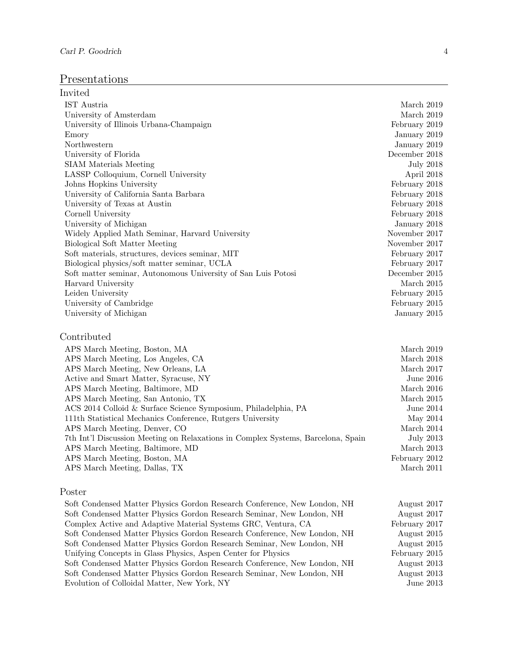## Presentations

| Invited                                                                          |                  |
|----------------------------------------------------------------------------------|------------------|
| IST Austria                                                                      | March 2019       |
| University of Amsterdam                                                          | March 2019       |
| University of Illinois Urbana-Champaign                                          | February 2019    |
| Emory                                                                            | January 2019     |
| Northwestern                                                                     | January 2019     |
| University of Florida                                                            | December 2018    |
| <b>SIAM</b> Materials Meeting                                                    | <b>July 2018</b> |
| LASSP Colloquium, Cornell University                                             | April 2018       |
| Johns Hopkins University                                                         | February 2018    |
| University of California Santa Barbara                                           | February 2018    |
| University of Texas at Austin                                                    | February 2018    |
| Cornell University                                                               | February 2018    |
| University of Michigan                                                           | January 2018     |
| Widely Applied Math Seminar, Harvard University                                  | November 2017    |
| Biological Soft Matter Meeting                                                   | November 2017    |
| Soft materials, structures, devices seminar, MIT                                 | February 2017    |
| Biological physics/soft matter seminar, UCLA                                     | February 2017    |
| Soft matter seminar, Autonomous University of San Luis Potosi                    | December 2015    |
| Harvard University                                                               | March 2015       |
| Leiden University                                                                | February 2015    |
| University of Cambridge                                                          | February 2015    |
| University of Michigan                                                           | January 2015     |
| Contributed                                                                      |                  |
| APS March Meeting, Boston, MA                                                    | March 2019       |
| APS March Meeting, Los Angeles, CA                                               | March 2018       |
| APS March Meeting, New Orleans, LA                                               | March 2017       |
| Active and Smart Matter, Syracuse, NY                                            | June 2016        |
| APS March Meeting, Baltimore, MD                                                 | March 2016       |
| APS March Meeting, San Antonio, TX                                               | March $2015$     |
| ACS 2014 Colloid & Surface Science Symposium, Philadelphia, PA                   | June 2014        |
| 111th Statistical Mechanics Conference, Rutgers University                       | May 2014         |
| APS March Meeting, Denver, CO                                                    | March 2014       |
| 7th Int'l Discussion Meeting on Relaxations in Complex Systems, Barcelona, Spain | <b>July 2013</b> |
| APS March Meeting, Baltimore, MD                                                 | March 2013       |
| APS March Meeting, Boston, MA                                                    | February 2012    |
| APS March Meeting, Dallas, TX                                                    | March 2011       |
| Poster                                                                           |                  |

| Soft Condensed Matter Physics Gordon Research Conference, New London, NH | August 2017   |
|--------------------------------------------------------------------------|---------------|
| Soft Condensed Matter Physics Gordon Research Seminar, New London, NH    | August 2017   |
| Complex Active and Adaptive Material Systems GRC, Ventura, CA            | February 2017 |
| Soft Condensed Matter Physics Gordon Research Conference, New London, NH | August 2015   |
| Soft Condensed Matter Physics Gordon Research Seminar, New London, NH    | August 2015   |
| Unifying Concepts in Glass Physics, Aspen Center for Physics             | February 2015 |
| Soft Condensed Matter Physics Gordon Research Conference, New London, NH | August 2013   |
| Soft Condensed Matter Physics Gordon Research Seminar, New London, NH    | August 2013   |
| Evolution of Colloidal Matter, New York, NY                              | June 2013     |